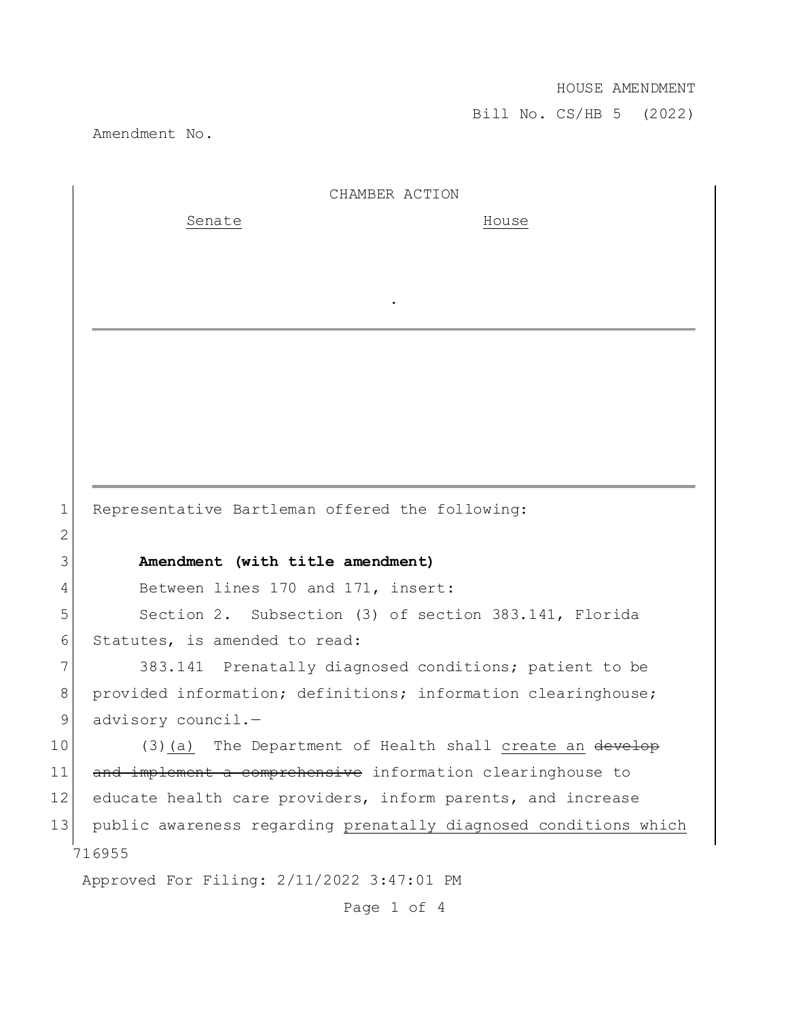## HOUSE AMENDMENT

Bill No. CS/HB 5 (2022)

Amendment No.

|    | CHAMBER ACTION                                                   |
|----|------------------------------------------------------------------|
|    | Senate<br>House                                                  |
|    |                                                                  |
|    |                                                                  |
|    |                                                                  |
|    |                                                                  |
|    |                                                                  |
|    |                                                                  |
|    |                                                                  |
|    |                                                                  |
|    |                                                                  |
| 1  | Representative Bartleman offered the following:                  |
| 2  |                                                                  |
| 3  | Amendment (with title amendment)                                 |
| 4  | Between lines 170 and 171, insert:                               |
| 5  | Section 2. Subsection (3) of section 383.141, Florida            |
| 6  | Statutes, is amended to read:                                    |
| 7  | 383.141 Prenatally diagnosed conditions; patient to be           |
| 8  | provided information; definitions; information clearinghouse;    |
| 9  | advisory council.-                                               |
| 10 | (3)(a) The Department of Health shall create an develop          |
| 11 | and implement a comprehensive information clearinghouse to       |
| 12 | educate health care providers, inform parents, and increase      |
| 13 | public awareness regarding prenatally diagnosed conditions which |
|    | 716955                                                           |
|    | Approved For Filing: 2/11/2022 3:47:01 PM                        |

Page 1 of 4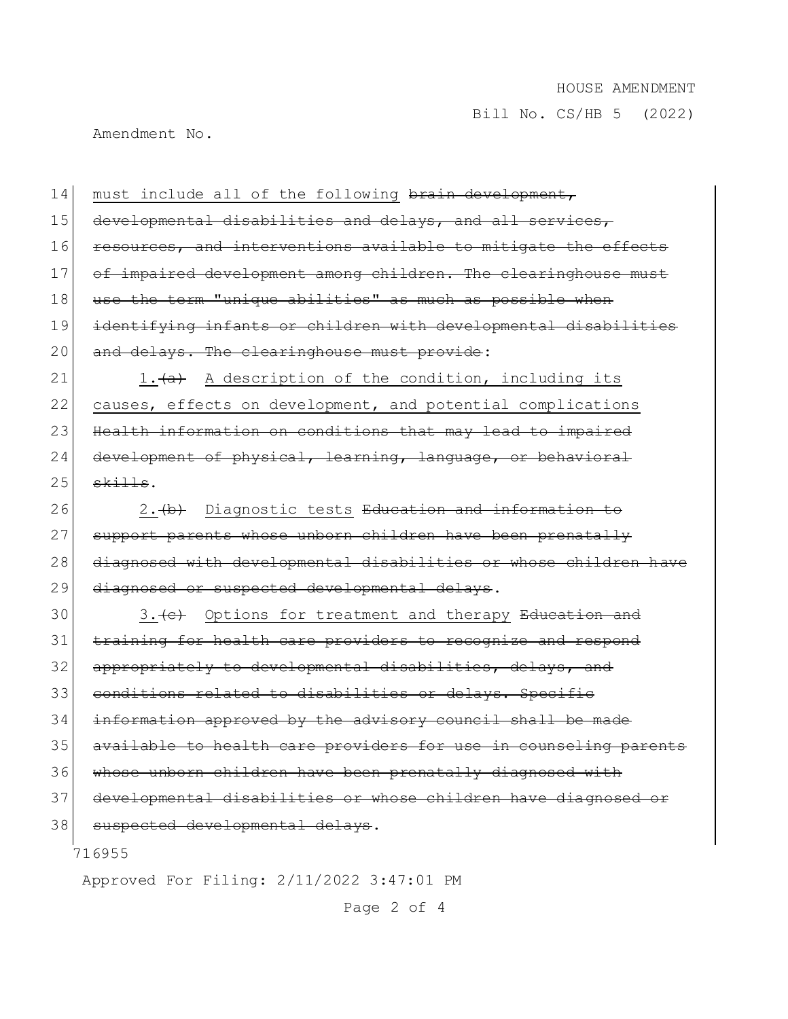Bill No. CS/HB 5 (2022)

Amendment No.

716955 Approved For Filing: 2/11/2022 3:47:01 PM 14 must include all of the following brain development, 15 developmental disabilities and delays, and all services, 16 resources, and interventions available to mitigate the effects 17 of impaired development among children. The clearinghouse must 18 use the term "unique abilities" as much as possible when 19 identifying infants or children with developmental disabilities 20 and delays. The clearinghouse must provide: 21 1. $\frac{a}{a}$  A description of the condition, including its 22 causes, effects on development, and potential complications 23 Health information on conditions that may lead to impaired 24 development of physical, learning, language, or behavioral  $25$  skills. 26 2. (b) Diagnostic tests Education and information to 27 support parents whose unborn children have been prenatally 28 diagnosed with developmental disabilities or whose children have 29 diagnosed or suspected developmental delays. 30 3. (c) Options for treatment and therapy Education and 31 training for health care providers to recognize and respond 32 appropriately to developmental disabilities, delays, 33 conditions related to disabilities or delays. Specifie 34 information approved by the advisory council shall be made 35 available to health care providers for use in counseling parents 36 whose unborn children have been prenatally diagnosed with 37 developmental disabilities or whose children have diagnosed or 38 suspected developmental delays.

Page 2 of 4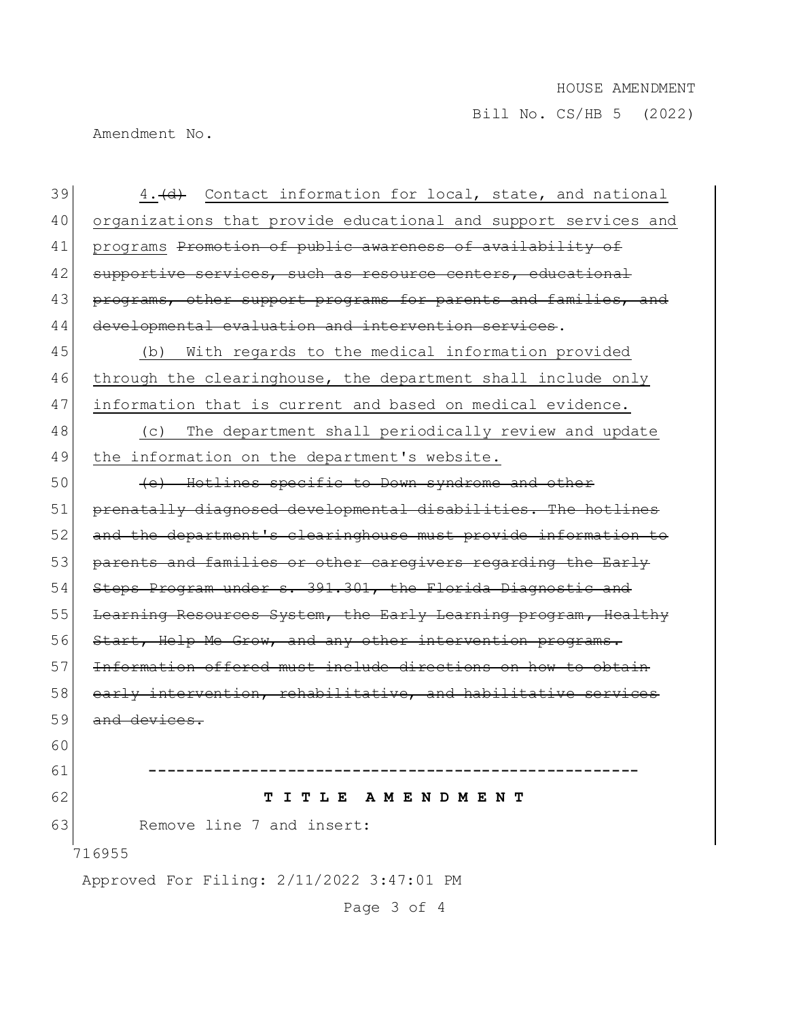## HOUSE AMENDMENT

Bill No. CS/HB 5 (2022)

Amendment No.

716955 Approved For Filing: 2/11/2022 3:47:01 PM  $39$  4.  $\left(\frac{d}{d}\right)$  Contact information for local, state, and national 40 organizations that provide educational and support services and 41 programs Promotion of public awareness of availability of 42 supportive services, such as resource centers, educational 43 programs, other support programs for parents and families, and 44 developmental evaluation and intervention services. 45 (b) With regards to the medical information provided 46 through the clearinghouse, the department shall include only 47 information that is current and based on medical evidence. 48 (c) The department shall periodically review and update 49 the information on the department's website. 50 (e) Hotlines specific to Down syndrome and other 51 prenatally diagnosed developmental disabilities. The hotlines 52 and the department's clearinghouse must provide information to 53 parents and families or other caregivers regarding the Early 54 Steps Program under s. 391.301, the Florida Diagnostic and 55 Learning Resources System, the Early Learning program, Healthy 56 Start, Help Me Grow, and any other intervention programs. 57 Information offered must include directions on 58 early intervention, rehabilitative, and habilitative services 59 and devices. 60 61 **-----------------------------------------------------** 62 **T I T L E A M E N D M E N T** 63 Remove line 7 and insert:

Page 3 of 4